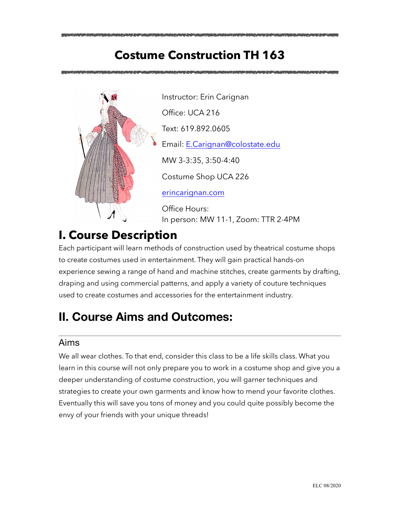# **Costume Construction TH 163**



Instructor: Erin Carignan Office: UCA 216 Text: 619.892.0605 Email: [E.Carignan@colostate.edu](mailto:E.Carignan@colostate.edu) MW 3-3:35, 3:50-4:40 Costume Shop UCA 226 [erincarignan.com](http://erincarignan.com)

Office Hours: In person: MW 11-1, Zoom: TTR 2-4PM

# **I. Course Description**

Each participant will learn methods of construction used by theatrical costume shops to create costumes used in entertainment. They will gain practical hands-on experience sewing a range of hand and machine stitches, create garments by drafting, draping and using commercial patterns, and apply a variety of couture techniques used to create costumes and accessories for the entertainment industry.

# **II. Course Aims and Outcomes:**

## Aims

We all wear clothes. To that end, consider this class to be a life skills class. What you learn in this course will not only prepare you to work in a costume shop and give you a deeper understanding of costume construction, you will garner techniques and strategies to create your own garments and know how to mend your favorite clothes. Eventually this will save you tons of money and you could quite possibly become the envy of your friends with your unique threads!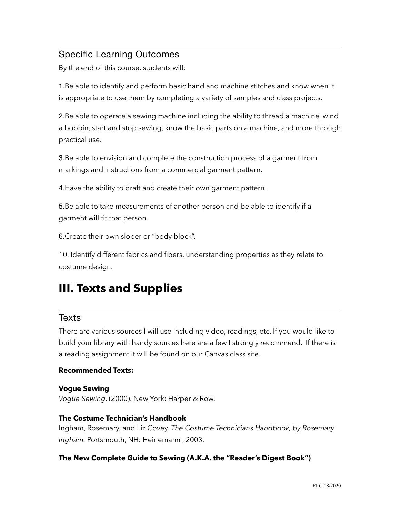## Specific Learning Outcomes

By the end of this course, students will:

1.Be able to identify and perform basic hand and machine stitches and know when it is appropriate to use them by completing a variety of samples and class projects.

2.Be able to operate a sewing machine including the ability to thread a machine, wind a bobbin, start and stop sewing, know the basic parts on a machine, and more through practical use.

3.Be able to envision and complete the construction process of a garment from markings and instructions from a commercial garment pattern.

4.Have the ability to draft and create their own garment pattern.

5.Be able to take measurements of another person and be able to identify if a garment will fit that person.

6.Create their own sloper or "body block".

10. Identify different fabrics and fibers, understanding properties as they relate to costume design.

# **III. Texts and Supplies**

### **Texts**

There are various sources I will use including video, readings, etc. If you would like to build your library with handy sources here are a few I strongly recommend. If there is a reading assignment it will be found on our Canvas class site.

#### **Recommended Texts:**

#### **Vogue Sewing**

*Vogue Sewing*. (2000). New York: Harper & Row.

#### **The Costume Technician's Handbook**

Ingham, Rosemary, and Liz Covey. *The Costume Technicians Handbook, by Rosemary Ingham.* Portsmouth, NH: Heinemann , 2003.

#### **The New Complete Guide to Sewing (A.K.A. the "Reader's Digest Book")**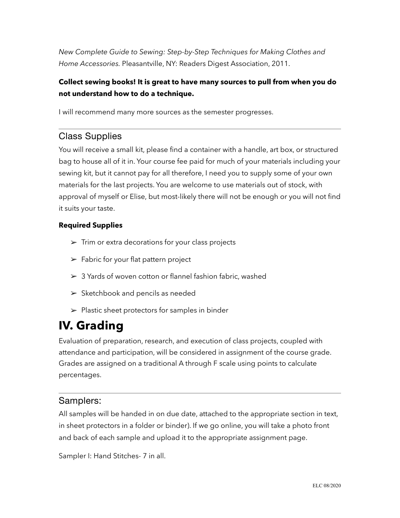*New Complete Guide to Sewing: Step-by-Step Techniques for Making Clothes and Home Accessories.* Pleasantville, NY: Readers Digest Association, 2011.

### **Collect sewing books! It is great to have many sources to pull from when you do not understand how to do a technique.**

I will recommend many more sources as the semester progresses.

## Class Supplies

You will receive a small kit, please find a container with a handle, art box, or structured bag to house all of it in. Your course fee paid for much of your materials including your sewing kit, but it cannot pay for all therefore, I need you to supply some of your own materials for the last projects. You are welcome to use materials out of stock, with approval of myself or Elise, but most-likely there will not be enough or you will not find it suits your taste.

### **Required Supplies**

- $\triangleright$  Trim or extra decorations for your class projects
- $\blacktriangleright$  Fabric for your flat pattern project
- $\geq 3$  Yards of woven cotton or flannel fashion fabric, washed
- $\triangleright$  Sketchbook and pencils as needed
- $\triangleright$  Plastic sheet protectors for samples in binder

# **IV. Grading**

Evaluation of preparation, research, and execution of class projects, coupled with attendance and participation, will be considered in assignment of the course grade. Grades are assigned on a traditional A through F scale using points to calculate percentages.

### Samplers:

All samples will be handed in on due date, attached to the appropriate section in text, in sheet protectors in a folder or binder). If we go online, you will take a photo front and back of each sample and upload it to the appropriate assignment page.

Sampler I: Hand Stitches- 7 in all.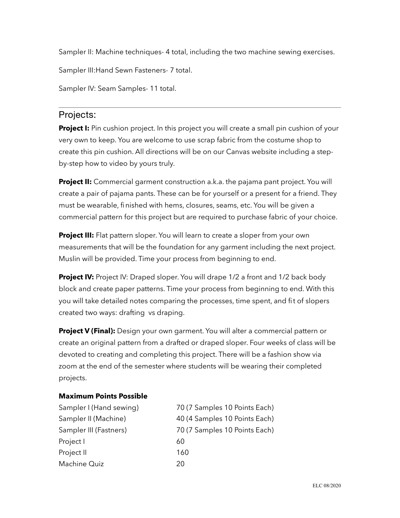Sampler II: Machine techniques- 4 total, including the two machine sewing exercises.

Sampler III:Hand Sewn Fasteners- 7 total.

Sampler IV: Seam Samples- 11 total.

### Projects:

**Project I:** Pin cushion project. In this project you will create a small pin cushion of your very own to keep. You are welcome to use scrap fabric from the costume shop to create this pin cushion. All directions will be on our Canvas website including a stepby-step how to video by yours truly.

**Project II:** Commercial garment construction a.k.a. the pajama pant project. You will create a pair of pajama pants. These can be for yourself or a present for a friend. They must be wearable, finished with hems, closures, seams, etc. You will be given a commercial pattern for this project but are required to purchase fabric of your choice.

**Project III:** Flat pattern sloper. You will learn to create a sloper from your own measurements that will be the foundation for any garment including the next project. Muslin will be provided. Time your process from beginning to end.

**Project IV:** Project IV: Draped sloper. You will drape 1/2 a front and 1/2 back body block and create paper patterns. Time your process from beginning to end. With this you will take detailed notes comparing the processes, time spent, and fit of slopers created two ways: drafting vs draping.

**Project V (Final):** Design your own garment. You will alter a commercial pattern or create an original pattern from a drafted or draped sloper. Four weeks of class will be devoted to creating and completing this project. There will be a fashion show via zoom at the end of the semester where students will be wearing their completed projects.

#### **Maximum Points Possible**

| Sampler I (Hand sewing) | 70 (7 Samples 10 Points Each) |
|-------------------------|-------------------------------|
| Sampler II (Machine)    | 40 (4 Samples 10 Points Each) |
| Sampler III (Fastners)  | 70 (7 Samples 10 Points Each) |
| Project I               | 60                            |
| Project II              | 160                           |
| Machine Quiz            | 20                            |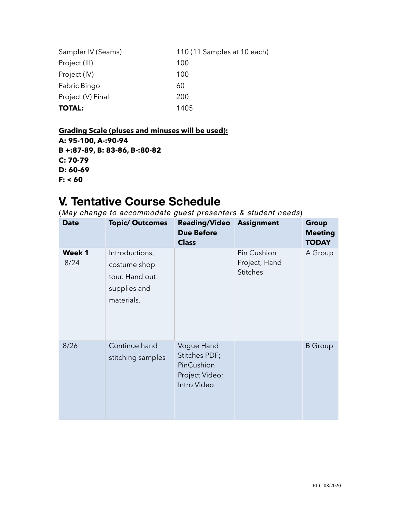| Sampler IV (Seams) | 110 (11 Samples at 10 each) |
|--------------------|-----------------------------|
| Project (III)      | 100                         |
| Project (IV)       | 100                         |
| Fabric Bingo       | 60                          |
| Project (V) Final  | 200                         |
| <b>TOTAL:</b>      | 1405                        |

**Grading Scale (pluses and minuses will be used): A: 95-100, A-:90-94 B +:87-89, B: 83-86, B-:80-82 C: 70-79 D: 60-69 F: < 60** 

## **V. Tentative Course Schedule**

(*May change to accommodate guest presenters & student needs*)

| <b>Date</b>           | <b>Topic/Outcomes</b>                                                          | <b>Reading/Video</b><br><b>Due Before</b><br><b>Class</b>                  | <b>Assignment</b>                               | <b>Group</b><br><b>Meeting</b><br><b>TODAY</b> |
|-----------------------|--------------------------------------------------------------------------------|----------------------------------------------------------------------------|-------------------------------------------------|------------------------------------------------|
| <b>Week 1</b><br>8/24 | Introductions,<br>costume shop<br>tour. Hand out<br>supplies and<br>materials. |                                                                            | Pin Cushion<br>Project; Hand<br><b>Stitches</b> | A Group                                        |
| 8/26                  | Continue hand<br>stitching samples                                             | Vogue Hand<br>Stitches PDF;<br>PinCushion<br>Project Video;<br>Intro Video |                                                 | <b>B</b> Group                                 |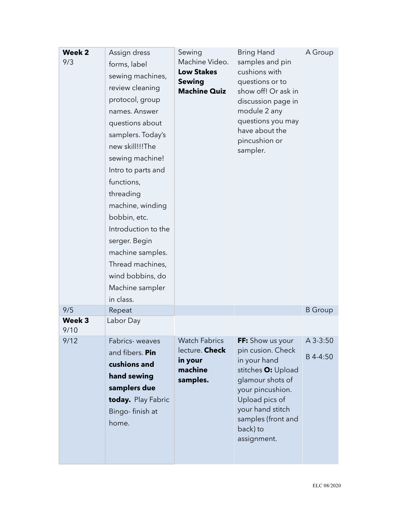| Week 2<br>9/3  | Assign dress<br>forms, label<br>sewing machines,<br>review cleaning<br>protocol, group<br>names. Answer<br>questions about<br>samplers. Today's<br>new skill!!!The<br>sewing machine!<br>Intro to parts and<br>functions,<br>threading<br>machine, winding<br>bobbin, etc.<br>Introduction to the<br>serger. Begin<br>machine samples.<br>Thread machines,<br>wind bobbins, do<br>Machine sampler | Sewing<br>Machine Video.<br><b>Low Stakes</b><br><b>Sewing</b><br><b>Machine Quiz</b> | Bring Hand<br>samples and pin<br>cushions with<br>questions or to<br>show off! Or ask in<br>discussion page in<br>module 2 any<br>questions you may<br>have about the<br>pincushion or<br>sampler.         | A Group              |
|----------------|---------------------------------------------------------------------------------------------------------------------------------------------------------------------------------------------------------------------------------------------------------------------------------------------------------------------------------------------------------------------------------------------------|---------------------------------------------------------------------------------------|------------------------------------------------------------------------------------------------------------------------------------------------------------------------------------------------------------|----------------------|
| 9/5            | in class.                                                                                                                                                                                                                                                                                                                                                                                         |                                                                                       |                                                                                                                                                                                                            | <b>B</b> Group       |
| Week 3<br>9/10 | Repeat<br>Labor Day                                                                                                                                                                                                                                                                                                                                                                               |                                                                                       |                                                                                                                                                                                                            |                      |
| 9/12           | Fabrics-weaves<br>and fibers. Pin<br>cushions and<br>hand sewing<br>samplers due<br>today. Play Fabric<br>Bingo-finish at<br>home.                                                                                                                                                                                                                                                                | <b>Watch Fabrics</b><br>lecture. Check<br>in your<br>machine<br>samples.              | FF: Show us your<br>pin cusion. Check<br>in your hand<br>stitches O: Upload<br>glamour shots of<br>your pincushion.<br>Upload pics of<br>your hand stitch<br>samples (front and<br>back) to<br>assignment. | A 3-3:50<br>B 4-4:50 |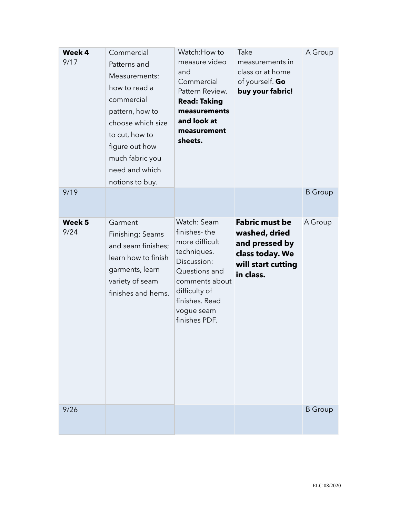| Week 4<br>9/17 | Commercial<br>Patterns and<br>Measurements:<br>how to read a<br>commercial<br>pattern, how to<br>choose which size<br>to cut, how to<br>figure out how<br>much fabric you<br>need and which<br>notions to buy. | Watch: How to<br>measure video<br>and<br>Commercial<br>Pattern Review.<br><b>Read: Taking</b><br>measurements<br>and look at<br>measurement<br>sheets.                           | Take<br>measurements in<br>class or at home<br>of yourself. Go<br>buy your fabric!                             | A Group        |
|----------------|----------------------------------------------------------------------------------------------------------------------------------------------------------------------------------------------------------------|----------------------------------------------------------------------------------------------------------------------------------------------------------------------------------|----------------------------------------------------------------------------------------------------------------|----------------|
| 9/19           |                                                                                                                                                                                                                |                                                                                                                                                                                  |                                                                                                                | <b>B</b> Group |
| Week 5<br>9/24 | Garment<br>Finishing: Seams<br>and seam finishes;<br>learn how to finish<br>garments, learn<br>variety of seam<br>finishes and hems.                                                                           | Watch: Seam<br>finishes-the<br>more difficult<br>techniques.<br>Discussion:<br>Questions and<br>comments about<br>difficulty of<br>finishes. Read<br>vogue seam<br>finishes PDF. | <b>Fabric must be</b><br>washed, dried<br>and pressed by<br>class today. We<br>will start cutting<br>in class. | A Group        |
| 9/26           |                                                                                                                                                                                                                |                                                                                                                                                                                  |                                                                                                                | <b>B</b> Group |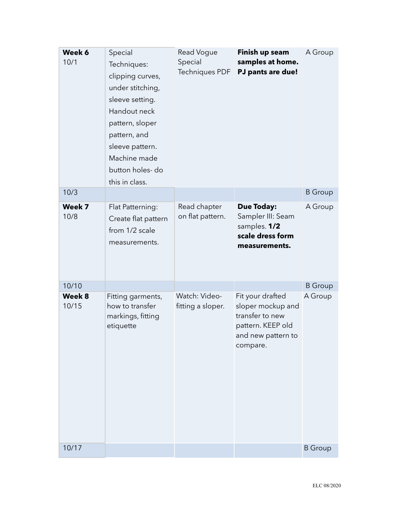| Week 6<br>10/1  | Special<br>Techniques:<br>clipping curves,<br>under stitching,<br>sleeve setting.<br>Handout neck<br>pattern, sloper<br>pattern, and<br>sleeve pattern.<br>Machine made<br>button holes-do<br>this in class. | Read Vogue<br>Special<br><b>Techniques PDF</b> | Finish up seam<br>samples at home.<br>PJ pants are due!                                                         | A Group        |
|-----------------|--------------------------------------------------------------------------------------------------------------------------------------------------------------------------------------------------------------|------------------------------------------------|-----------------------------------------------------------------------------------------------------------------|----------------|
| 10/3            |                                                                                                                                                                                                              |                                                |                                                                                                                 | <b>B</b> Group |
| Week 7<br>10/8  | Flat Patterning:<br>Create flat pattern<br>from 1/2 scale<br>measurements.                                                                                                                                   | Read chapter<br>on flat pattern.               | <b>Due Today:</b><br>Sampler III: Seam<br>samples. 1/2<br>scale dress form<br>measurements.                     | A Group        |
| 10/10           |                                                                                                                                                                                                              |                                                |                                                                                                                 | <b>B</b> Group |
| Week 8<br>10/15 | Fitting garments,<br>how to transfer<br>markings, fitting<br>etiquette                                                                                                                                       | Watch: Video-<br>fitting a sloper.             | Fit your drafted<br>sloper mockup and<br>transfer to new<br>pattern. KEEP old<br>and new pattern to<br>compare. | A Group        |
| 10/17           |                                                                                                                                                                                                              |                                                |                                                                                                                 | <b>B</b> Group |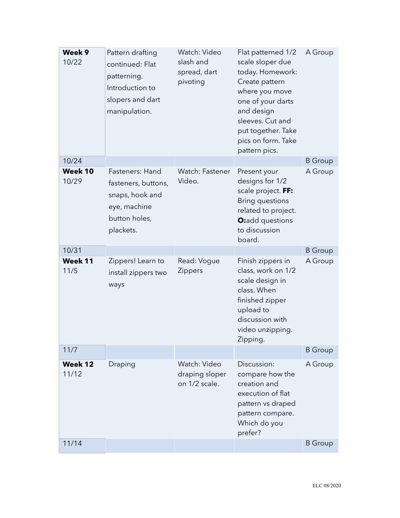| Week 9<br>10/22         | Pattern drafting<br>continued: Flat<br>patterning.<br>Introduction to<br>slopers and dart<br>manipulation. | Watch: Video<br>slash and<br>spread, dart<br>pivoting | Flat patterned 1/2<br>scale sloper due<br>today. Homework:<br>Create pattern<br>where you move<br>one of your darts<br>and design<br>sleeves. Cut and<br>put together. Take<br>pics on form. Take<br>pattern pics. | A Group        |
|-------------------------|------------------------------------------------------------------------------------------------------------|-------------------------------------------------------|--------------------------------------------------------------------------------------------------------------------------------------------------------------------------------------------------------------------|----------------|
| 10/24                   |                                                                                                            |                                                       |                                                                                                                                                                                                                    | <b>B</b> Group |
| Week 10<br>10/29        | Fasteners: Hand<br>fasteners, buttons,<br>snaps, hook and<br>eye, machine<br>button holes,<br>plackets.    | Watch: Fastener<br>Video.                             | Present your<br>designs for 1/2<br>scale project. FF:<br><b>Bring questions</b><br>related to project.<br>O:add questions<br>to discussion<br>board.                                                               | A Group        |
| 10/31                   |                                                                                                            |                                                       |                                                                                                                                                                                                                    | <b>B</b> Group |
| Week 11<br>11/5         | Zippers! Learn to<br>install zippers two<br>ways                                                           | Read: Vogue<br>Zippers                                | Finish zippers in<br>class, work on 1/2<br>scale design in<br>class. When<br>finished zipper<br>upload to<br>discussion with<br>video unzipping.<br>Zipping.                                                       | A Group        |
| 11/7                    |                                                                                                            |                                                       |                                                                                                                                                                                                                    | <b>B</b> Group |
| <b>Week 12</b><br>11/12 | Draping                                                                                                    | Watch: Video<br>draping sloper<br>on 1/2 scale.       | Discussion:<br>compare how the<br>creation and<br>execution of flat<br>pattern vs draped<br>pattern compare.<br>Which do you<br>prefer?                                                                            | A Group        |
| 11/14                   |                                                                                                            |                                                       |                                                                                                                                                                                                                    | <b>B</b> Group |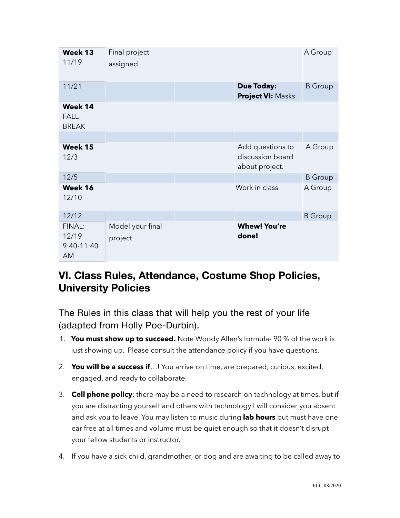| Week 13<br>11/19                       | Final project<br>assigned.   |                                                        | A Group        |
|----------------------------------------|------------------------------|--------------------------------------------------------|----------------|
| 11/21                                  |                              | <b>Due Today:</b><br><b>Project VI: Masks</b>          | <b>B</b> Group |
| Week 14<br><b>FALL</b><br><b>BREAK</b> |                              |                                                        |                |
|                                        |                              |                                                        |                |
| Week 15<br>12/3                        |                              | Add questions to<br>discussion board<br>about project. | A Group        |
| 12/5                                   |                              |                                                        | <b>B</b> Group |
| Week 16<br>12/10                       |                              | Work in class                                          | A Group        |
| 12/12                                  |                              |                                                        | <b>B</b> Group |
| FINAL:<br>12/19<br>$9:40-11:40$<br>AM  | Model your final<br>project. | <b>Whew! You're</b><br>done!                           |                |

## **VI. Class Rules, Attendance, Costume Shop Policies, University Policies**

The Rules in this class that will help you the rest of your life (adapted from Holly Poe-Durbin).

- 1. **You must show up to succeed.** Note Woody Allen's formula- 90 % of the work is just showing up. Please consult the attendance policy if you have questions.
- 2. **You will be a success if**…! You arrive on time, are prepared, curious, excited, engaged, and ready to collaborate.
- 3. **Cell phone policy**: there may be a need to research on technology at times, but if you are distracting yourself and others with technology I will consider you absent and ask you to leave. You may listen to music during **lab hours** but must have one ear free at all times and volume must be quiet enough so that it doesn't disrupt your fellow students or instructor.
- 4. If you have a sick child, grandmother, or dog and are awaiting to be called away to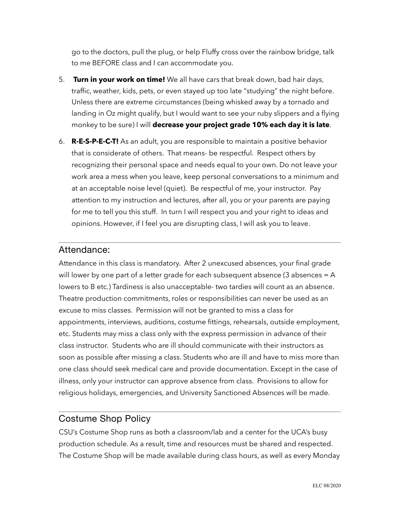go to the doctors, pull the plug, or help Fluffy cross over the rainbow bridge, talk to me BEFORE class and I can accommodate you.

- 5. **Turn in your work on time!** We all have cars that break down, bad hair days, traffic, weather, kids, pets, or even stayed up too late "studying" the night before. Unless there are extreme circumstances (being whisked away by a tornado and landing in Oz might qualify, but I would want to see your ruby slippers and a flying monkey to be sure) I will **decrease your project grade 10% each day it is late**.
- 6. **R-E-S-P-E-C-T!** As an adult, you are responsible to maintain a positive behavior that is considerate of others. That means- be respectful. Respect others by recognizing their personal space and needs equal to your own. Do not leave your work area a mess when you leave, keep personal conversations to a minimum and at an acceptable noise level (quiet). Be respectful of me, your instructor. Pay attention to my instruction and lectures, after all, you or your parents are paying for me to tell you this stuff. In turn I will respect you and your right to ideas and opinions. However, if I feel you are disrupting class, I will ask you to leave.

### Attendance:

Attendance in this class is mandatory. After 2 unexcused absences, your final grade will lower by one part of a letter grade for each subsequent absence  $(3$  absences = A lowers to B etc.) Tardiness is also unacceptable- two tardies will count as an absence. Theatre production commitments, roles or responsibilities can never be used as an excuse to miss classes. Permission will not be granted to miss a class for appointments, interviews, auditions, costume fittings, rehearsals, outside employment, etc. Students may miss a class only with the express permission in advance of their class instructor. Students who are ill should communicate with their instructors as soon as possible after missing a class. Students who are ill and have to miss more than one class should seek medical care and provide documentation. Except in the case of illness, only your instructor can approve absence from class. Provisions to allow for religious holidays, emergencies, and University Sanctioned Absences will be made.

### Costume Shop Policy

CSU's Costume Shop runs as both a classroom/lab and a center for the UCA's busy production schedule. As a result, time and resources must be shared and respected. The Costume Shop will be made available during class hours, as well as every Monday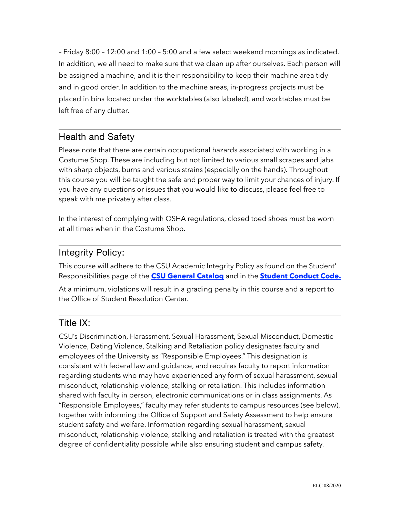– Friday 8:00 – 12:00 and 1:00 – 5:00 and a few select weekend mornings as indicated. In addition, we all need to make sure that we clean up after ourselves. Each person will be assigned a machine, and it is their responsibility to keep their machine area tidy and in good order. In addition to the machine areas, in-progress projects must be placed in bins located under the worktables (also labeled), and worktables must be left free of any clutter.

### Health and Safety

Please note that there are certain occupational hazards associated with working in a Costume Shop. These are including but not limited to various small scrapes and jabs with sharp objects, burns and various strains (especially on the hands). Throughout this course you will be taught the safe and proper way to limit your chances of injury. If you have any questions or issues that you would like to discuss, please feel free to speak with me privately after class.

In the interest of complying with OSHA regulations, closed toed shoes must be worn at all times when in the Costume Shop.

## Integrity Policy:

This course will adhere to the CSU Academic Integrity Policy as found on the Student' Responsibilities page of the **[CSU General Catalog](http://catalog.colostate.edu/general-catalog/policies/students-responsibilities/%22%20%5Cl%20%22academic-integrity%22%20%5Ct%20%22_blank)** and in the **[Student Conduct Code.](http://resolutioncenter.colostate.edu/conduct-code/%22%20%5Ct%20%22_blank)**

At a minimum, violations will result in a grading penalty in this course and a report to the Office of Student Resolution Center.

## Title IX:

CSU's Discrimination, Harassment, Sexual Harassment, Sexual Misconduct, Domestic Violence, Dating Violence, Stalking and Retaliation policy designates faculty and employees of the University as "Responsible Employees." This designation is consistent with federal law and guidance, and requires faculty to report information regarding students who may have experienced any form of sexual harassment, sexual misconduct, relationship violence, stalking or retaliation. This includes information shared with faculty in person, electronic communications or in class assignments. As "Responsible Employees," faculty may refer students to campus resources (see below), together with informing the Office of Support and Safety Assessment to help ensure student safety and welfare. Information regarding sexual harassment, sexual misconduct, relationship violence, stalking and retaliation is treated with the greatest degree of confidentiality possible while also ensuring student and campus safety.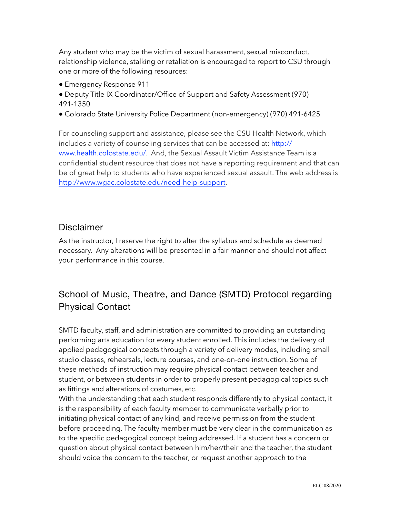Any student who may be the victim of sexual harassment, sexual misconduct, relationship violence, stalking or retaliation is encouraged to report to CSU through one or more of the following resources:

- Emergency Response 911
- Deputy Title IX Coordinator/Office of Support and Safety Assessment (970) 491-1350
- Colorado State University Police Department (non-emergency) (970) 491-6425

For counseling support and assistance, please see the CSU Health Network, which includes a variety of counseling services that can be accessed at: [http://](http://www.health.colostate.edu/%22%20%5Ct%20%22_blank%22%20%5Co%20%22http://www.health.colostate.edu/Ctrl+Click%20or%20tap%20to%20follow%20the%20link) [www.health.colostate.edu/](http://www.health.colostate.edu/%22%20%5Ct%20%22_blank%22%20%5Co%20%22http://www.health.colostate.edu/Ctrl+Click%20or%20tap%20to%20follow%20the%20link). And, the Sexual Assault Victim Assistance Team is a confidential student resource that does not have a reporting requirement and that can be of great help to students who have experienced sexual assault. The web address is [http://www.wgac.colostate.edu/need-help-support.](http://www.wgac.colostate.edu/need-help-support%22%20%5Ct%20%22_blank)

### Disclaimer

As the instructor, I reserve the right to alter the syllabus and schedule as deemed necessary. Any alterations will be presented in a fair manner and should not affect your performance in this course.

## School of Music, Theatre, and Dance (SMTD) Protocol regarding Physical Contact

SMTD faculty, staff, and administration are committed to providing an outstanding performing arts education for every student enrolled. This includes the delivery of applied pedagogical concepts through a variety of delivery modes, including small studio classes, rehearsals, lecture courses, and one-on-one instruction. Some of these methods of instruction may require physical contact between teacher and student, or between students in order to properly present pedagogical topics such as fittings and alterations of costumes, etc.

With the understanding that each student responds differently to physical contact, it is the responsibility of each faculty member to communicate verbally prior to initiating physical contact of any kind, and receive permission from the student before proceeding. The faculty member must be very clear in the communication as to the specific pedagogical concept being addressed. If a student has a concern or question about physical contact between him/her/their and the teacher, the student should voice the concern to the teacher, or request another approach to the